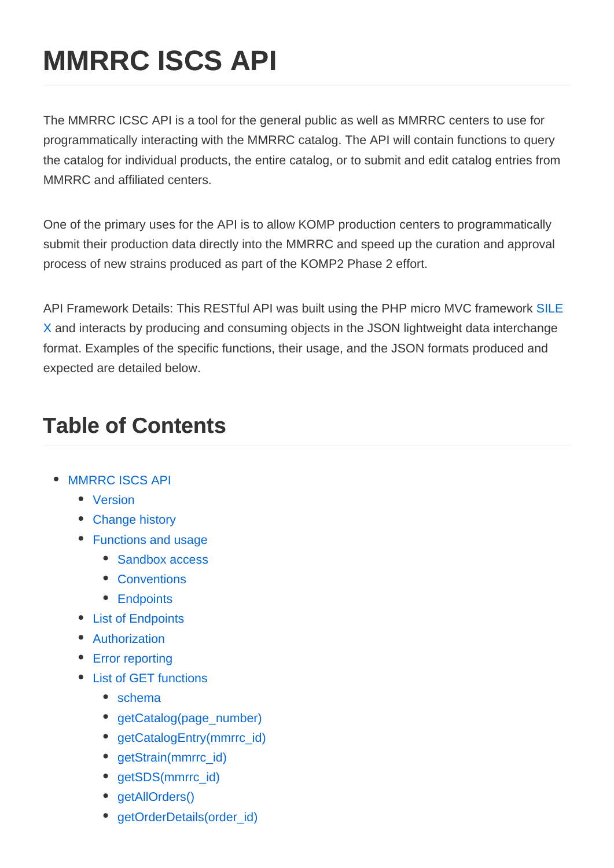# **MMRRC ISCS API**

The MMRRC ICSC API is a tool for the general public as well as MMRRC centers to use for programmatically interacting with the MMRRC catalog. The API will contain functions to query the catalog for individual products, the entire catalog, or to submit and edit catalog entries from MMRRC and affiliated centers.

One of the primary uses for the API is to allow KOMP production centers to programmatically submit their production data directly into the MMRRC and speed up the curation and approval process of new strains produced as part of the KOMP2 Phase 2 effort.

API Framework Details: This RESTful API was built using the PHP micro MVC framework [SILE](https://silex.symfony.com/) [X](https://silex.symfony.com/) and interacts by producing and consuming objects in the JSON lightweight data interchange format. Examples of the specific functions, their usage, and the JSON formats produced and expected are detailed below.

## **Table of Contents**

- MMRRC ISCS API
	- [Version](#page-1-0)
	- [Change history](#page-1-0)
	- [Functions and usage](#page-1-0)
		- [Sandbox access](#page-1-0)
		- [Conventions](#page-1-0)
		- [Endpoints](#page-2-0)
	- [List of Endpoints](#page-2-0)
	- [Authorization](#page-2-0)
	- [Error reporting](#page-3-0)
	- [List of GET functions](#page-3-0)
		- [schema](#page-3-0)
		- [getCatalog\(page\\_number\)](#page-5-0)
		- [getCatalogEntry\(mmrrc\\_id\)](#page-6-0)
		- [getStrain\(mmrrc\\_id\)](#page-7-0)
		- [getSDS\(mmrrc\\_id\)](#page-8-0)
		- qetAllOrders()
		- [getOrderDetails\(order\\_id\)](#page-13-0)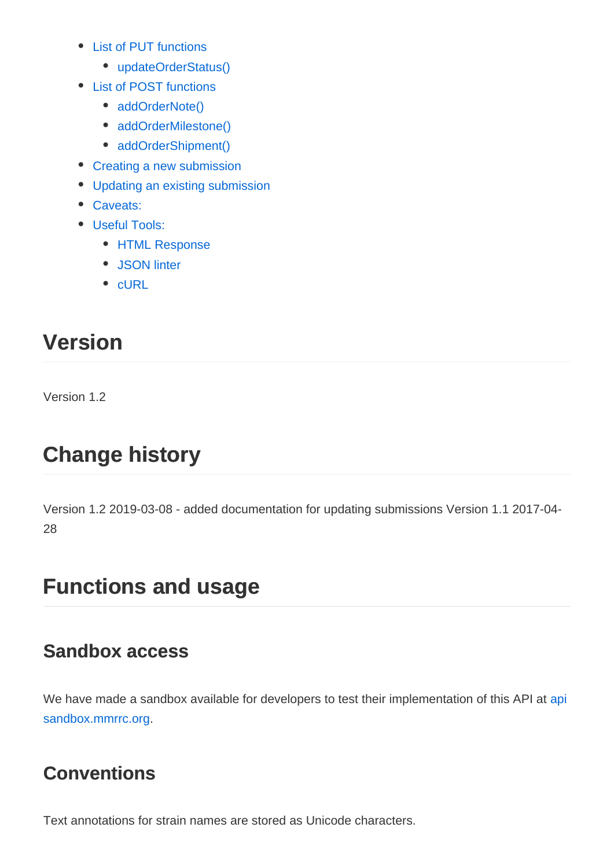- <span id="page-1-0"></span>• [List of PUT functions](#page-20-0)
	- [updateOrderStatus\(\)](#page-20-0)
- [List of POST functions](#page-20-0)
	- [addOrderNote\(\)](#page-21-0)
	- [addOrderMilestone\(\)](#page-21-0)
	- [addOrderShipment\(\)](#page-22-0)
- [Creating a new submission](#page-22-0)
- [Updating an existing submission](#page-23-0)
- [Caveats:](#page-24-0)
- [Useful Tools:](#page-24-0)
	- [HTML Response](#page-25-0)
	- [JSON linter](#page-25-0)
	- $\bullet$  [cURL](#page-25-0)

## **Version**

Version 1.2

## **Change history**

Version 1.2 2019-03-08 - added documentation for updating submissions Version 1.1 2017-04- 28

## **Functions and usage**

#### **Sandbox access**

We have made a sandbox available for developers to test their implementation of this API at [api](https://apisandbox.mmrrc.org) [sandbox.mmrrc.org](https://apisandbox.mmrrc.org).

### **Conventions**

Text annotations for strain names are stored as Unicode characters.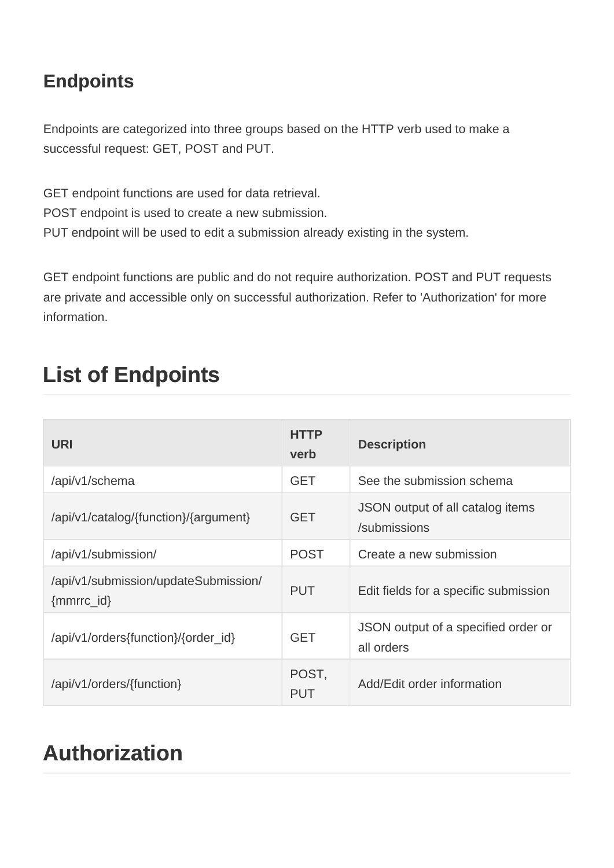### <span id="page-2-0"></span>**Endpoints**

Endpoints are categorized into three groups based on the HTTP verb used to make a successful request: GET, POST and PUT.

GET endpoint functions are used for data retrieval. POST endpoint is used to create a new submission. PUT endpoint will be used to edit a submission already existing in the system.

GET endpoint functions are public and do not require authorization. POST and PUT requests are private and accessible only on successful authorization. Refer to 'Authorization' for more information.

| <b>URI</b>                                             | <b>HTTP</b><br>verb | <b>Description</b>                                |
|--------------------------------------------------------|---------------------|---------------------------------------------------|
| /api/v1/schema                                         | <b>GET</b>          | See the submission schema                         |
| /api/v1/catalog/{function}/{argument}                  | <b>GET</b>          | JSON output of all catalog items<br>/submissions  |
| /api/v1/submission/                                    | <b>POST</b>         | Create a new submission                           |
| /api/v1/submission/updateSubmission/<br>$\{mmrrc_id\}$ | <b>PUT</b>          | Edit fields for a specific submission             |
| /api/v1/orders{function}/{order_id}                    | <b>GET</b>          | JSON output of a specified order or<br>all orders |
| /api/v1/orders/{function}                              | POST,<br>PUT        | Add/Edit order information                        |

## **List of Endpoints**

## **Authorization**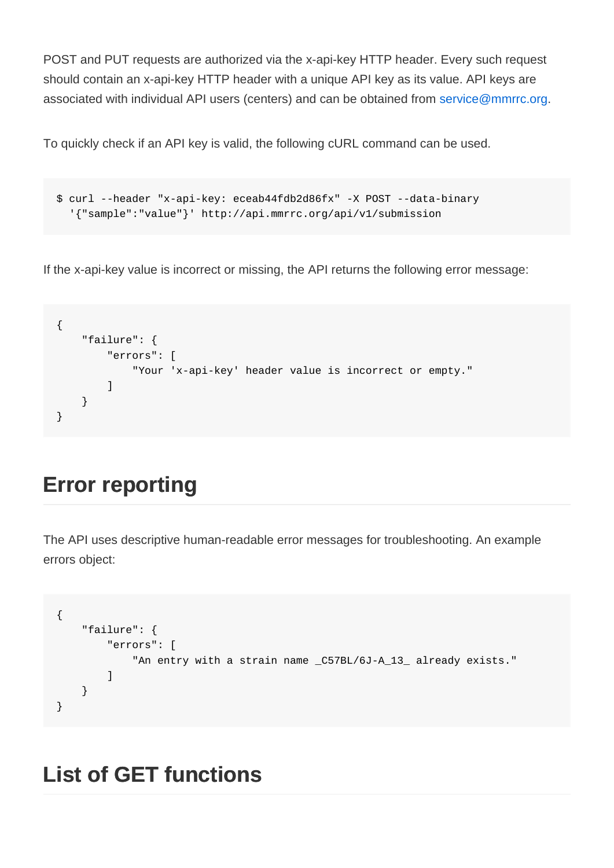<span id="page-3-0"></span>POST and PUT requests are authorized via the x-api-key HTTP header. Every such request should contain an x-api-key HTTP header with a unique API key as its value. API keys are associated with individual API users (centers) and can be obtained from service@mmrrc.org.

To quickly check if an API key is valid, the following cURL command can be used.

```
$ curl --header "x-api-key: eceab44fdb2d86fx" -X POST --data-binary
   '{"sample":"value"}' http://api.mmrrc.org/api/v1/submission
```
If the x-api-key value is incorrect or missing, the API returns the following error message:

```
{
     "failure": {
         "errors": [
              "Your 'x-api-key' header value is incorrect or empty."
         ]
     }
}
```
## **Error reporting**

The API uses descriptive human-readable error messages for troubleshooting. An example errors object:

```
{
     "failure": {
          "errors": [
              "An entry with a strain name _C57BL/6J-A_13_ already exists."
         \mathbf{1} }
}
```
### **List of GET functions**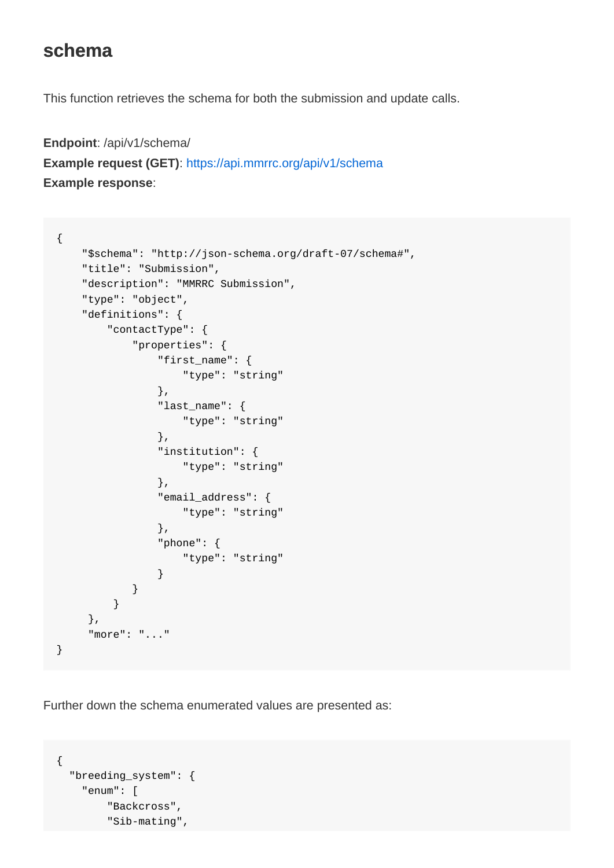#### **schema**

This function retrieves the schema for both the submission and update calls.

```
Endpoint: /api/v1/schema/
Example request (GET): https://api.mmrrc.org/api/v1/schema
Example response:
```

```
{
     "$schema": "http://json-schema.org/draft-07/schema#",
     "title": "Submission",
     "description": "MMRRC Submission",
     "type": "object",
     "definitions": {
         "contactType": {
              "properties": {
                  "first_name": {
                      "type": "string"
                  },
                  "last_name": {
                      "type": "string"
                  },
                  "institution": {
                      "type": "string"
                  },
                  "email_address": {
                      "type": "string"
                  },
                  "phone": {
                      "type": "string"
 }
             }
          }
      },
      "more": "..."
}
```
Further down the schema enumerated values are presented as:

```
{
   "breeding_system": {
     "enum": [
         "Backcross",
         "Sib-mating",
```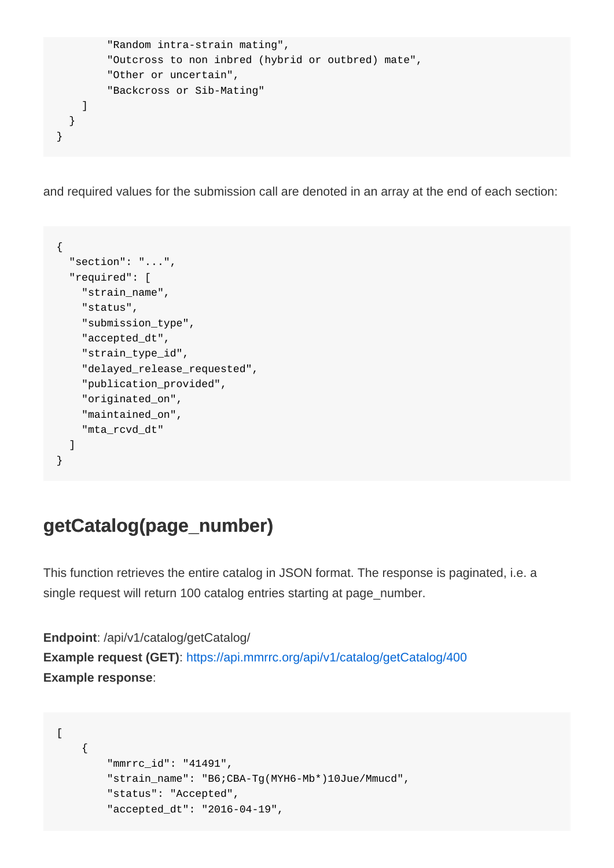```
 "Random intra-strain mating",
         "Outcross to non inbred (hybrid or outbred) mate",
         "Other or uncertain",
         "Backcross or Sib-Mating"
    ]
   }
}
```
and required values for the submission call are denoted in an array at the end of each section:

```
{
   "section": "...",
   "required": [
     "strain_name",
     "status",
     "submission_type",
     "accepted_dt",
     "strain_type_id",
     "delayed_release_requested",
     "publication_provided",
     "originated_on",
     "maintained_on",
     "mta_rcvd_dt"
   ]
}
```
#### **getCatalog(page\_number)**

This function retrieves the entire catalog in JSON format. The response is paginated, i.e. a single request will return 100 catalog entries starting at page\_number.

```
Endpoint: /api/v1/catalog/getCatalog/
Example request (GET): https://api.mmrrc.org/api/v1/catalog/getCatalog/400
Example response:
```

```
\sqrt{ } {
         "mmrrc_id": "41491",
         "strain_name": "B6;CBA-Tg(MYH6-Mb*)10Jue/Mmucd",
         "status": "Accepted",
         "accepted_dt": "2016-04-19",
```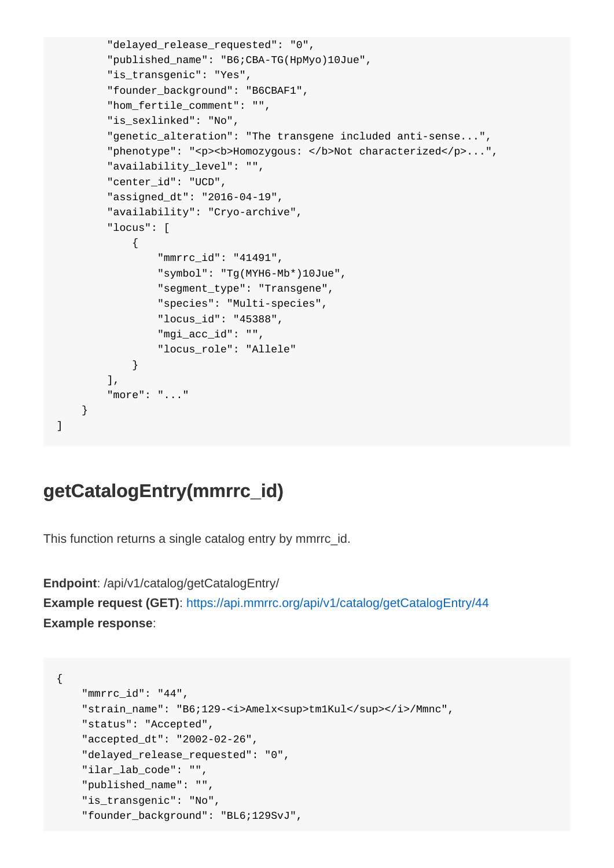```
 "delayed_release_requested": "0",
         "published_name": "B6;CBA-TG(HpMyo)10Jue",
        "is transgenic": "Yes",
        "founder_background": "B6CBAF1",
        "hom_fertile_comment": "",
        "is sexlinked": "No",
        "genetic_alteration": "The transgene included anti-sense...",
       "phenotype": "<p><b>Homozygous: </b>Not characterized</p>...",
         "availability_level": "",
        "center_id": "UCD",
         "assigned_dt": "2016-04-19",
         "availability": "Cryo-archive",
         "locus": [
\{ "mmrrc_id": "41491",
                 "symbol": "Tg(MYH6-Mb*)10Jue",
                 "segment_type": "Transgene",
                 "species": "Multi-species",
                 "locus_id": "45388",
                 "mgi_acc_id": "",
                 "locus_role": "Allele"
 }
        ],
        "more": "..."
    }
```
#### **getCatalogEntry(mmrrc\_id)**

]

This function returns a single catalog entry by mmrrc\_id.

**Endpoint**: /api/v1/catalog/getCatalogEntry/ **Example request (GET)**: <https://api.mmrrc.org/api/v1/catalog/getCatalogEntry/44> **Example response**:

```
{
     "mmrrc_id": "44",
    "strain_name": "B6;129-<i>Amelx<sup>tm1Kul</sup></i>/Mmnc",
     "status": "Accepted",
     "accepted_dt": "2002-02-26",
     "delayed_release_requested": "0",
     "ilar_lab_code": "",
     "published_name": "",
     "is_transgenic": "No",
     "founder_background": "BL6;129SvJ",
```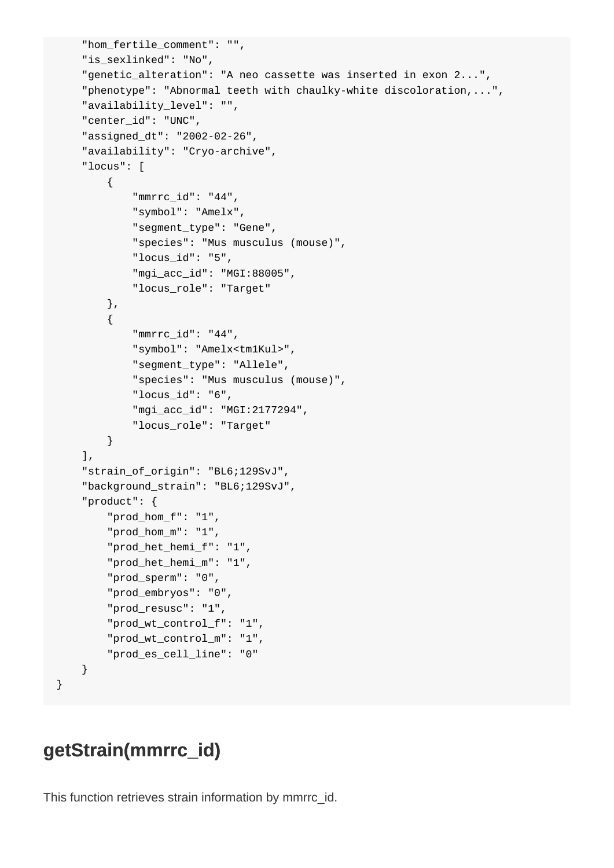```
 "hom_fertile_comment": "",
     "is_sexlinked": "No",
     "genetic_alteration": "A neo cassette was inserted in exon 2...",
     "phenotype": "Abnormal teeth with chaulky-white discoloration,...",
     "availability_level": "",
     "center_id": "UNC",
     "assigned_dt": "2002-02-26",
     "availability": "Cryo-archive",
     "locus": [
         {
             "mmrrc_id": "44",
             "symbol": "Amelx",
             "segment_type": "Gene",
             "species": "Mus musculus (mouse)",
             "locus_id": "5",
             "mgi_acc_id": "MGI:88005",
             "locus_role": "Target"
         },
         {
             "mmrrc_id": "44",
             "symbol": "Amelx<tm1Kul>",
             "segment_type": "Allele",
             "species": "Mus musculus (mouse)",
             "locus_id": "6",
             "mgi_acc_id": "MGI:2177294",
             "locus_role": "Target"
         }
     ],
     "strain_of_origin": "BL6;129SvJ",
     "background_strain": "BL6;129SvJ",
     "product": {
         "prod_hom_f": "1",
         "prod_hom_m": "1",
         "prod_het_hemi_f": "1",
         "prod_het_hemi_m": "1",
         "prod_sperm": "0",
         "prod_embryos": "0",
         "prod_resusc": "1",
         "prod_wt_control_f": "1",
         "prod_wt_control_m": "1",
         "prod_es_cell_line": "0"
    }
}
```
#### **getStrain(mmrrc\_id)**

This function retrieves strain information by mmrrc\_id.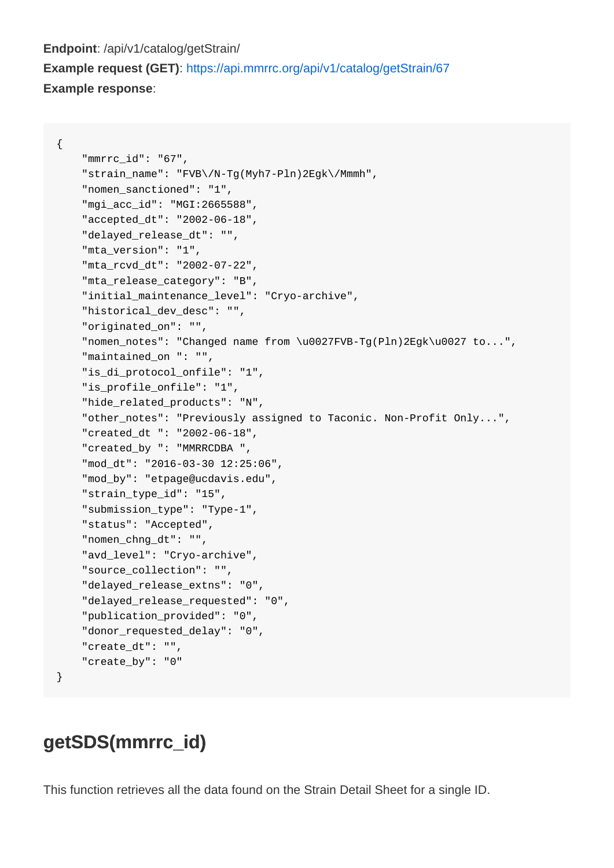#### <span id="page-8-0"></span>**Endpoint**: /api/v1/catalog/getStrain/ **Example request (GET)**: <https://api.mmrrc.org/api/v1/catalog/getStrain/67> **Example response**:

{

```
 "mmrrc_id": "67",
 "strain_name": "FVB\/N-Tg(Myh7-Pln)2Egk\/Mmmh",
 "nomen_sanctioned": "1",
 "mgi_acc_id": "MGI:2665588",
 "accepted_dt": "2002-06-18",
 "delayed_release_dt": "",
 "mta_version": "1",
 "mta_rcvd_dt": "2002-07-22",
 "mta_release_category": "B",
 "initial_maintenance_level": "Cryo-archive",
 "historical_dev_desc": "",
 "originated_on": "",
 "nomen_notes": "Changed name from \u0027FVB-Tg(Pln)2Egk\u0027 to...",
 "maintained_on ": "",
 "is_di_protocol_onfile": "1",
"is profile onfile": "1",
 "hide_related_products": "N",
 "other_notes": "Previously assigned to Taconic. Non-Profit Only...",
 "created_dt ": "2002-06-18",
 "created_by ": "MMRRCDBA ",
 "mod_dt": "2016-03-30 12:25:06",
 "mod_by": "etpage@ucdavis.edu",
"strain type id": "15",
 "submission_type": "Type-1",
 "status": "Accepted",
 "nomen_chng_dt": "",
 "avd_level": "Cryo-archive",
 "source_collection": "",
 "delayed_release_extns": "0",
 "delayed_release_requested": "0",
 "publication_provided": "0",
 "donor_requested_delay": "0",
 "create_dt": "",
 "create_by": "0"
```
#### **getSDS(mmrrc\_id)**

}

This function retrieves all the data found on the Strain Detail Sheet for a single ID.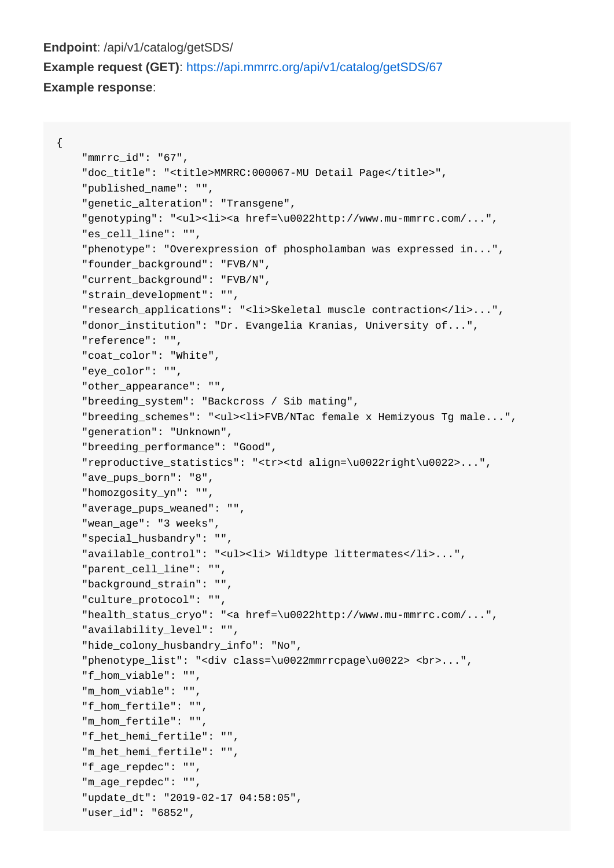#### **Endpoint**: /api/v1/catalog/getSDS/ **Example request (GET)**: <https://api.mmrrc.org/api/v1/catalog/getSDS/67> **Example response**:

```
{
```

```
 "mmrrc_id": "67",
 "doc_title": "<title>MMRRC:000067-MU Detail Page</title>",
 "published_name": "",
 "genetic_alteration": "Transgene",
 "genotyping": "<ul><li><a href=\u0022http://www.mu-mmrrc.com/...",
 "es_cell_line": "",
 "phenotype": "Overexpression of phospholamban was expressed in...",
 "founder_background": "FVB/N",
 "current_background": "FVB/N",
 "strain_development": "",
 "research_applications": "<li>Skeletal muscle contraction</li>...",
 "donor_institution": "Dr. Evangelia Kranias, University of...",
 "reference": "",
"coat color": "White",
 "eye_color": "",
 "other_appearance": "",
 "breeding_system": "Backcross / Sib mating",
 "breeding_schemes": "<ul><li>FVB/NTac female x Hemizyous Tg male...",
 "generation": "Unknown",
 "breeding_performance": "Good",
 "reproductive_statistics": "<tr><td align=\u0022right\u0022>...",
 "ave_pups_born": "8",
 "homozgosity_yn": "",
 "average_pups_weaned": "",
 "wean_age": "3 weeks",
 "special_husbandry": "",
 "available_control": "<ul><li> Wildtype littermates</li>...",
 "parent_cell_line": "",
 "background_strain": "",
 "culture_protocol": "",
 "health_status_cryo": "<a href=\u0022http://www.mu-mmrrc.com/...",
 "availability_level": "",
 "hide_colony_husbandry_info": "No",
 "phenotype_list": "<div class=\u0022mmrrcpage\u0022> <br>...",
 "f_hom_viable": "",
 "m_hom_viable": "",
 "f_hom_fertile": "",
 "m_hom_fertile": "",
 "f_het_hemi_fertile": "",
 "m_het_hemi_fertile": "",
 "f_age_repdec": "",
 "m_age_repdec": "",
 "update_dt": "2019-02-17 04:58:05",
 "user_id": "6852",
```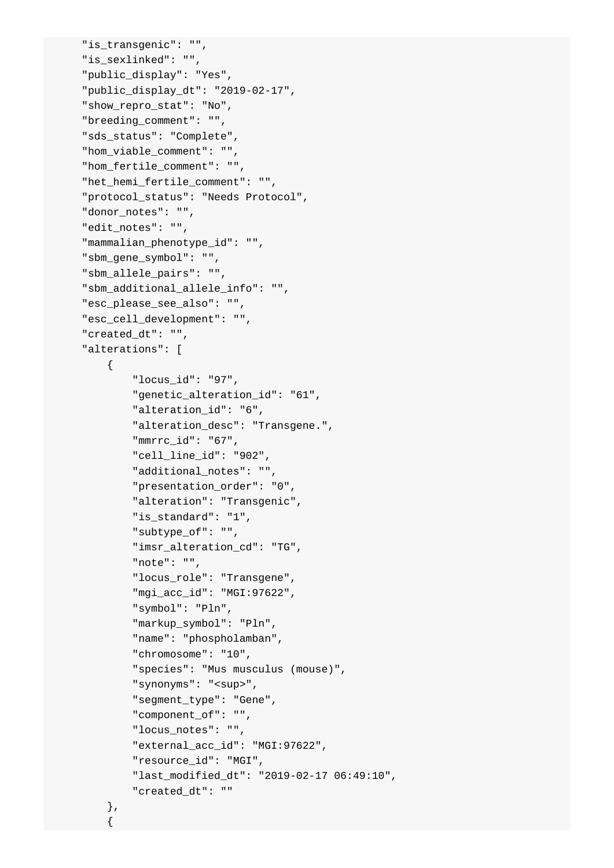```
"is transgenic": "",
 "is_sexlinked": "",
 "public_display": "Yes",
 "public_display_dt": "2019-02-17",
 "show_repro_stat": "No",
 "breeding_comment": "",
 "sds_status": "Complete",
 "hom_viable_comment": "",
 "hom_fertile_comment": "",
 "het_hemi_fertile_comment": "",
 "protocol_status": "Needs Protocol",
 "donor_notes": "",
 "edit_notes": "",
"mammalian phenotype id": "",
 "sbm_gene_symbol": "",
 "sbm_allele_pairs": "",
"sbm additional allele info": "",
 "esc_please_see_also": "",
 "esc_cell_development": "",
 "created_dt": "",
 "alterations": [
     {
         "locus_id": "97",
         "genetic_alteration_id": "61",
         "alteration_id": "6",
         "alteration_desc": "Transgene.",
         "mmrrc_id": "67",
         "cell_line_id": "902",
         "additional_notes": "",
         "presentation_order": "0",
         "alteration": "Transgenic",
         "is_standard": "1",
         "subtype_of": "",
         "imsr_alteration_cd": "TG",
         "note": "",
         "locus_role": "Transgene",
         "mgi_acc_id": "MGI:97622",
         "symbol": "Pln",
         "markup_symbol": "Pln",
         "name": "phospholamban",
         "chromosome": "10",
         "species": "Mus musculus (mouse)",
        "synonyms": "<sup>",
         "segment_type": "Gene",
         "component_of": "",
         "locus_notes": "",
         "external_acc_id": "MGI:97622",
         "resource_id": "MGI",
         "last_modified_dt": "2019-02-17 06:49:10",
         "created_dt": ""
```

```
 },
```
 $\left\{ \begin{array}{c} \end{array} \right.$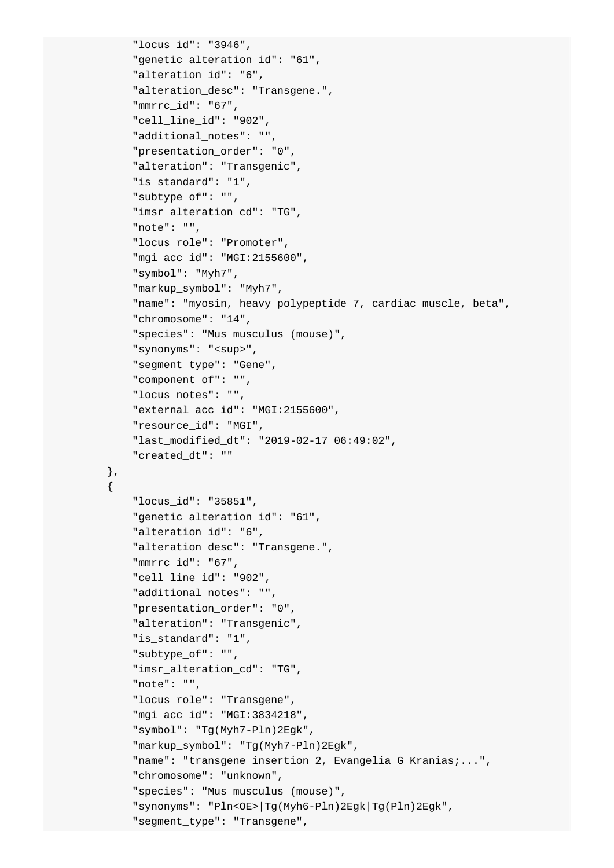```
 "locus_id": "3946",
     "genetic_alteration_id": "61",
     "alteration_id": "6",
     "alteration_desc": "Transgene.",
     "mmrrc_id": "67",
    "cell line id": "902",
     "additional_notes": "",
     "presentation_order": "0",
     "alteration": "Transgenic",
     "is_standard": "1",
     "subtype_of": "",
     "imsr_alteration_cd": "TG",
     "note": "",
     "locus_role": "Promoter",
     "mgi_acc_id": "MGI:2155600",
     "symbol": "Myh7",
     "markup_symbol": "Myh7",
     "name": "myosin, heavy polypeptide 7, cardiac muscle, beta",
     "chromosome": "14",
     "species": "Mus musculus (mouse)",
    " synonyms": "<sup>",
     "segment_type": "Gene",
     "component_of": "",
     "locus_notes": "",
     "external_acc_id": "MGI:2155600",
     "resource_id": "MGI",
     "last_modified_dt": "2019-02-17 06:49:02",
     "created_dt": ""
 },
     "locus_id": "35851",
     "genetic_alteration_id": "61",
     "alteration_id": "6",
     "alteration_desc": "Transgene.",
     "mmrrc_id": "67",
     "cell_line_id": "902",
     "additional_notes": "",
     "presentation_order": "0",
     "alteration": "Transgenic",
     "is_standard": "1",
     "subtype_of": "",
     "imsr_alteration_cd": "TG",
     "note": "",
     "locus_role": "Transgene",
     "mgi_acc_id": "MGI:3834218",
     "symbol": "Tg(Myh7-Pln)2Egk",
     "markup_symbol": "Tg(Myh7-Pln)2Egk",
     "name": "transgene insertion 2, Evangelia G Kranias;...",
     "chromosome": "unknown",
     "species": "Mus musculus (mouse)",
     "synonyms": "Pln<OE>|Tg(Myh6-Pln)2Egk|Tg(Pln)2Egk",
     "segment_type": "Transgene",
```
{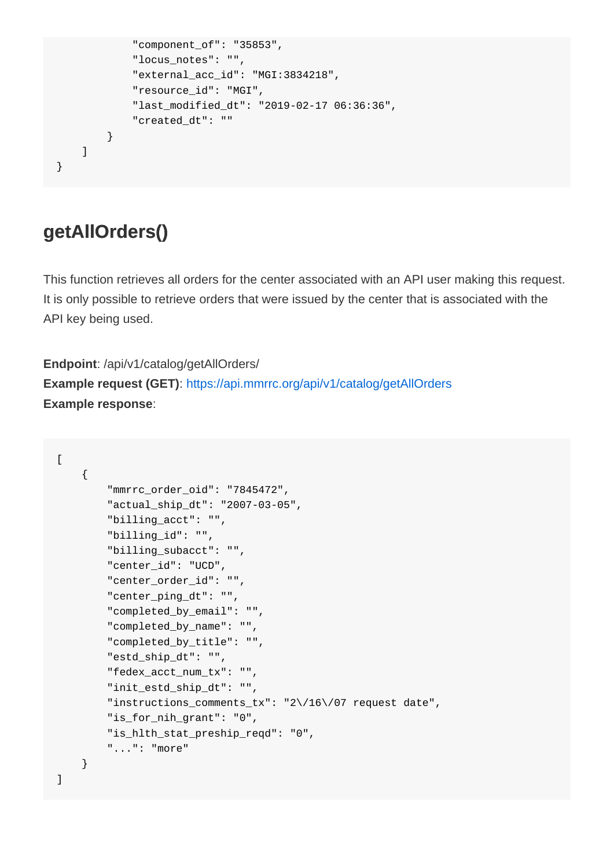```
 "component_of": "35853",
              "locus_notes": "",
              "external_acc_id": "MGI:3834218",
              "resource_id": "MGI",
              "last_modified_dt": "2019-02-17 06:36:36",
              "created_dt": ""
        }
   ]
}
```
### **getAllOrders()**

This function retrieves all orders for the center associated with an API user making this request. It is only possible to retrieve orders that were issued by the center that is associated with the API key being used.

**Endpoint**: /api/v1/catalog/getAllOrders/ **Example request (GET)**: <https://api.mmrrc.org/api/v1/catalog/getAllOrders> **Example response**:

```
\Gamma {
         "mmrrc_order_oid": "7845472",
         "actual_ship_dt": "2007-03-05",
         "billing_acct": "",
         "billing_id": "",
         "billing_subacct": "",
         "center_id": "UCD",
         "center_order_id": "",
         "center_ping_dt": "",
         "completed_by_email": "",
         "completed_by_name": "",
         "completed_by_title": "",
         "estd_ship_dt": "",
         "fedex_acct_num_tx": "",
         "init_estd_ship_dt": "",
         "instructions_comments_tx": "2\/16\/07 request date",
         "is_for_nih_grant": "0",
         "is_hlth_stat_preship_reqd": "0",
         "...": "more"
     }
]
```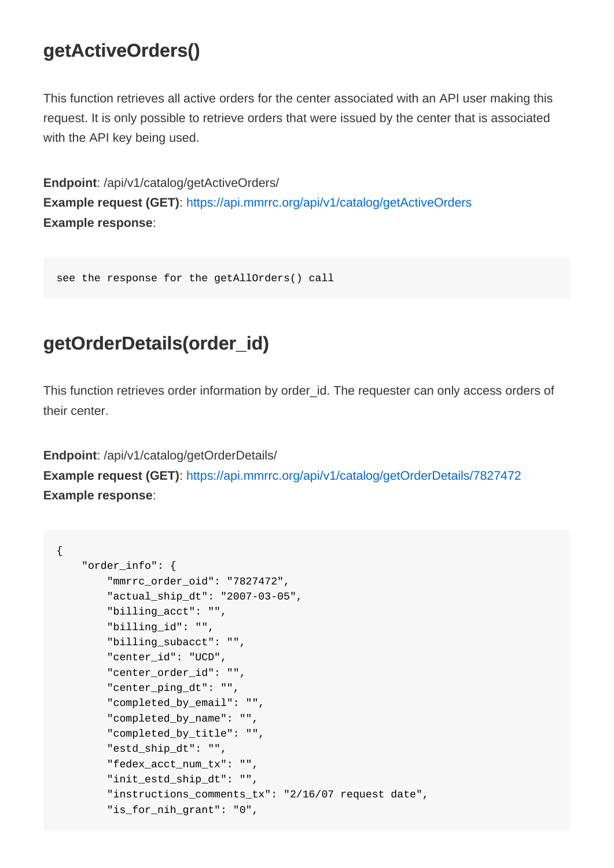### <span id="page-13-0"></span>**getActiveOrders()**

This function retrieves all active orders for the center associated with an API user making this request. It is only possible to retrieve orders that were issued by the center that is associated with the API key being used.

**Endpoint**: /api/v1/catalog/getActiveOrders/ **Example request (GET)**: <https://api.mmrrc.org/api/v1/catalog/getActiveOrders> **Example response**:

see the response for the getAllOrders() call

#### **getOrderDetails(order\_id)**

This function retrieves order information by order\_id. The requester can only access orders of their center.

**Endpoint**: /api/v1/catalog/getOrderDetails/

**Example request (GET)**: <https://api.mmrrc.org/api/v1/catalog/getOrderDetails/7827472> **Example response**:

```
{
     "order_info": {
         "mmrrc_order_oid": "7827472",
         "actual_ship_dt": "2007-03-05",
         "billing_acct": "",
         "billing_id": "",
         "billing_subacct": "",
         "center_id": "UCD",
        "center order id": "",
         "center_ping_dt": "",
         "completed_by_email": "",
         "completed_by_name": "",
         "completed_by_title": "",
         "estd_ship_dt": "",
         "fedex_acct_num_tx": "",
         "init_estd_ship_dt": "",
         "instructions_comments_tx": "2/16/07 request date",
         "is_for_nih_grant": "0",
```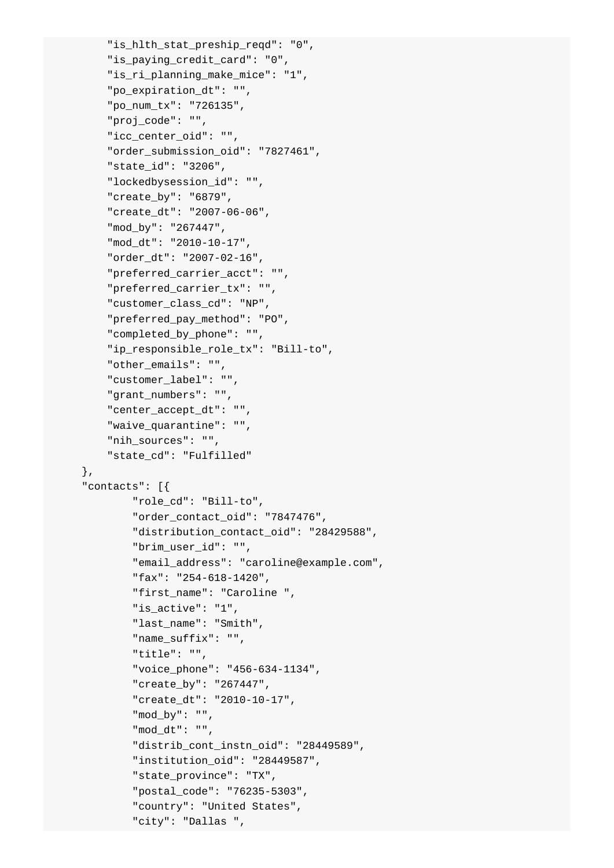```
"is hlth stat preship reqd": "0",
     "is_paying_credit_card": "0",
     "is_ri_planning_make_mice": "1",
     "po_expiration_dt": "",
     "po_num_tx": "726135",
     "proj_code": "",
     "icc_center_oid": "",
     "order_submission_oid": "7827461",
     "state_id": "3206",
     "lockedbysession_id": "",
     "create_by": "6879",
     "create_dt": "2007-06-06",
     "mod_by": "267447",
     "mod_dt": "2010-10-17",
     "order_dt": "2007-02-16",
     "preferred_carrier_acct": "",
     "preferred_carrier_tx": "",
     "customer_class_cd": "NP",
     "preferred_pay_method": "PO",
     "completed_by_phone": "",
    "ip_responsible_role_tx": "Bill-to",
     "other_emails": "",
     "customer_label": "",
     "grant_numbers": "",
     "center_accept_dt": "",
     "waive_quarantine": "",
     "nih_sources": "",
     "state_cd": "Fulfilled"
 },
 "contacts": [{
         "role_cd": "Bill-to",
         "order_contact_oid": "7847476",
         "distribution_contact_oid": "28429588",
         "brim_user_id": "",
         "email_address": "caroline@example.com",
         "fax": "254-618-1420",
         "first_name": "Caroline ",
         "is_active": "1",
         "last_name": "Smith",
         "name_suffix": "",
         "title": "",
         "voice_phone": "456-634-1134",
         "create_by": "267447",
         "create_dt": "2010-10-17",
         "mod_by": "",
         "mod_dt": "",
         "distrib_cont_instn_oid": "28449589",
         "institution_oid": "28449587",
         "state_province": "TX",
         "postal_code": "76235-5303",
         "country": "United States",
         "city": "Dallas ",
```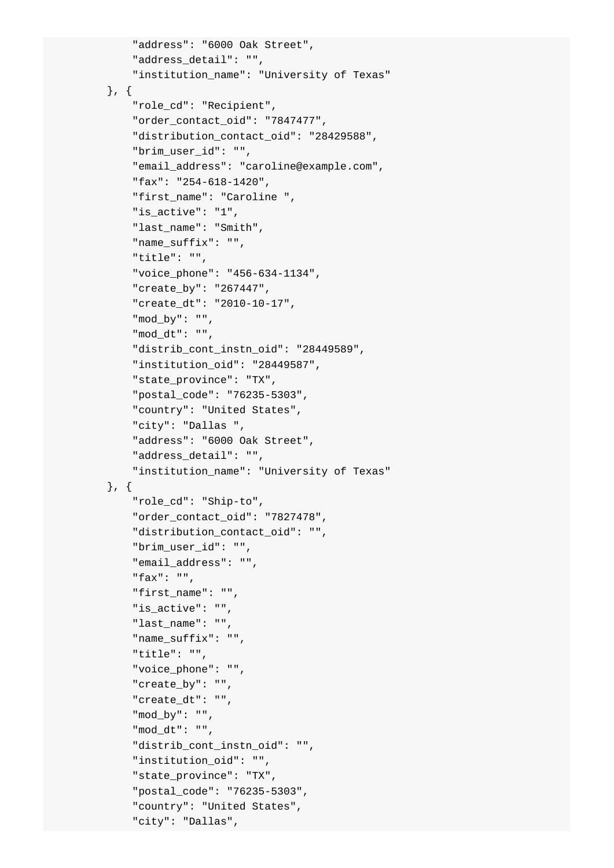```
 "address": "6000 Oak Street",
     "address_detail": "",
     "institution_name": "University of Texas"
 }, {
     "role_cd": "Recipient",
     "order_contact_oid": "7847477",
     "distribution_contact_oid": "28429588",
     "brim_user_id": "",
     "email_address": "caroline@example.com",
     "fax": "254-618-1420",
     "first_name": "Caroline ",
     "is_active": "1",
     "last_name": "Smith",
     "name_suffix": "",
     "title": "",
     "voice_phone": "456-634-1134",
     "create_by": "267447",
     "create_dt": "2010-10-17",
     "mod_by": "",
     "mod_dt": "",
    "distrib cont instn oid": "28449589",
     "institution_oid": "28449587",
     "state_province": "TX",
     "postal_code": "76235-5303",
     "country": "United States",
     "city": "Dallas ",
     "address": "6000 Oak Street",
     "address_detail": "",
     "institution_name": "University of Texas"
 }, {
     "role_cd": "Ship-to",
     "order_contact_oid": "7827478",
     "distribution_contact_oid": "",
     "brim_user_id": "",
     "email_address": "",
     "fax": "",
     "first_name": "",
     "is_active": "",
     "last_name": "",
     "name_suffix": "",
     "title": "",
     "voice_phone": "",
     "create_by": "",
     "create_dt": "",
     "mod_by": "",
     "mod_dt": "",
     "distrib_cont_instn_oid": "",
     "institution_oid": "",
     "state_province": "TX",
     "postal_code": "76235-5303",
     "country": "United States",
     "city": "Dallas",
```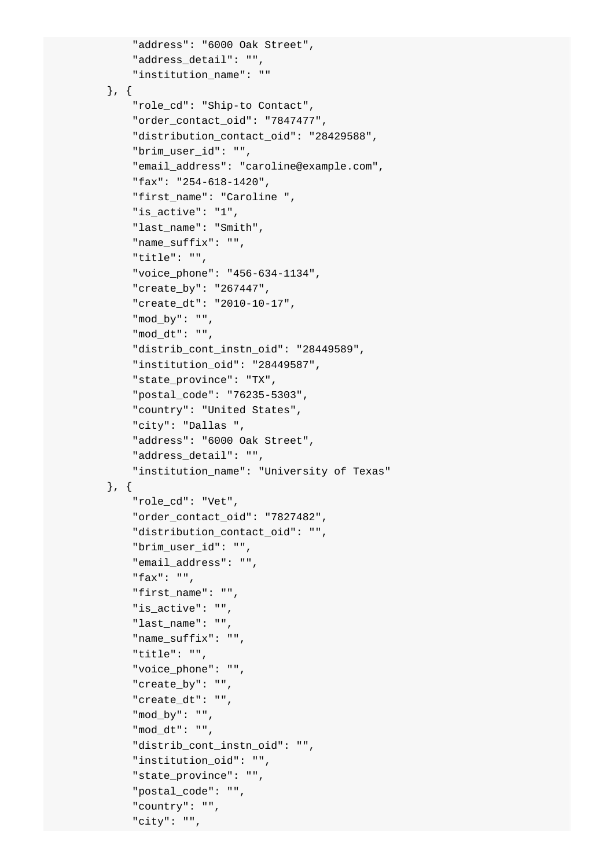```
 "address": "6000 Oak Street",
     "address_detail": "",
     "institution_name": ""
 }, {
     "role_cd": "Ship-to Contact",
     "order_contact_oid": "7847477",
     "distribution_contact_oid": "28429588",
     "brim_user_id": "",
     "email_address": "caroline@example.com",
     "fax": "254-618-1420",
     "first_name": "Caroline ",
     "is_active": "1",
     "last_name": "Smith",
     "name_suffix": "",
     "title": "",
     "voice_phone": "456-634-1134",
     "create_by": "267447",
     "create_dt": "2010-10-17",
     "mod_by": "",
     "mod_dt": "",
    "distrib cont instn oid": "28449589",
     "institution_oid": "28449587",
     "state_province": "TX",
     "postal_code": "76235-5303",
     "country": "United States",
     "city": "Dallas ",
     "address": "6000 Oak Street",
     "address_detail": "",
     "institution_name": "University of Texas"
 }, {
     "role_cd": "Vet",
     "order_contact_oid": "7827482",
     "distribution_contact_oid": "",
     "brim_user_id": "",
     "email_address": "",
     "fax": "",
     "first_name": "",
     "is_active": "",
     "last_name": "",
     "name_suffix": "",
     "title": "",
     "voice_phone": "",
     "create_by": "",
     "create_dt": "",
     "mod_by": "",
     "mod_dt": "",
     "distrib_cont_instn_oid": "",
     "institution_oid": "",
     "state_province": "",
     "postal_code": "",
     "country": "",
     "city": "",
```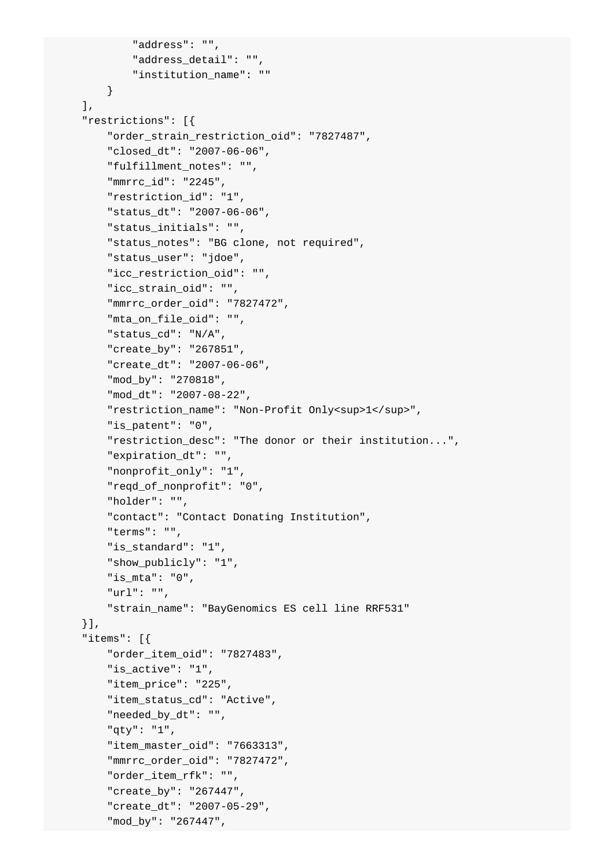```
 "address": "",
         "address_detail": "",
         "institution_name": ""
     }
\mathbf{1},
 "restrictions": [{
     "order_strain_restriction_oid": "7827487",
     "closed_dt": "2007-06-06",
     "fulfillment_notes": "",
     "mmrrc_id": "2245",
     "restriction_id": "1",
     "status_dt": "2007-06-06",
     "status_initials": "",
     "status_notes": "BG clone, not required",
     "status_user": "jdoe",
     "icc_restriction_oid": "",
     "icc_strain_oid": "",
     "mmrrc_order_oid": "7827472",
     "mta_on_file_oid": "",
     "status_cd": "N/A",
     "create_by": "267851",
     "create_dt": "2007-06-06",
     "mod_by": "270818",
     "mod_dt": "2007-08-22",
    "restriction_name": "Non-Profit Only<sup>1</sup>",
    "is patent": "0",
     "restriction_desc": "The donor or their institution...",
     "expiration_dt": "",
     "nonprofit_only": "1",
     "reqd_of_nonprofit": "0",
     "holder": "",
     "contact": "Contact Donating Institution",
     "terms": "",
     "is_standard": "1",
     "show_publicly": "1",
     "is_mta": "0",
     "url": "",
     "strain_name": "BayGenomics ES cell line RRF531"
 }],
 "items": [{
     "order_item_oid": "7827483",
     "is_active": "1",
     "item_price": "225",
     "item_status_cd": "Active",
     "needed_by_dt": "",
     "qty": "1",
     "item_master_oid": "7663313",
     "mmrrc_order_oid": "7827472",
     "order_item_rfk": "",
     "create_by": "267447",
     "create_dt": "2007-05-29",
     "mod_by": "267447",
```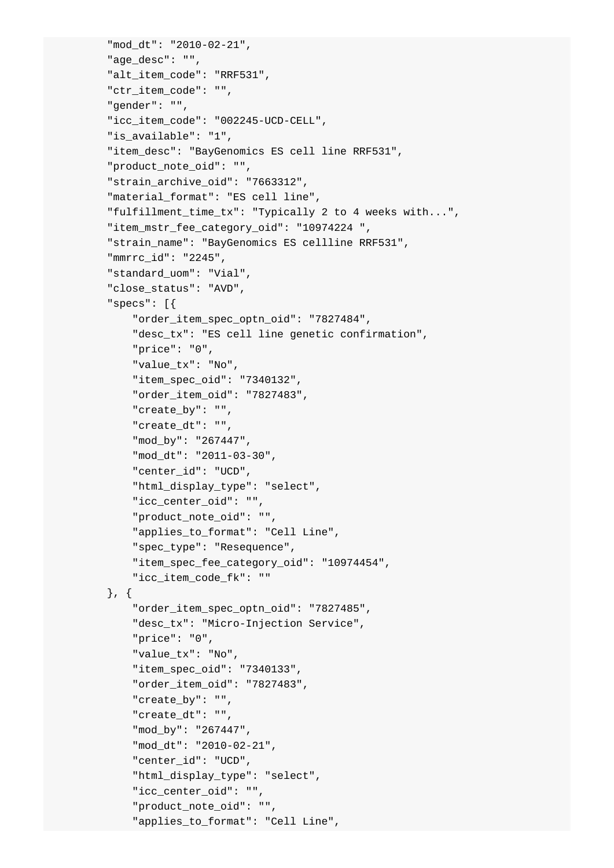```
 "mod_dt": "2010-02-21",
 "age_desc": "",
 "alt_item_code": "RRF531",
 "ctr_item_code": "",
 "gender": "",
 "icc_item_code": "002245-UCD-CELL",
 "is_available": "1",
 "item_desc": "BayGenomics ES cell line RRF531",
 "product_note_oid": "",
 "strain_archive_oid": "7663312",
 "material_format": "ES cell line",
 "fulfillment_time_tx": "Typically 2 to 4 weeks with...",
 "item_mstr_fee_category_oid": "10974224 ",
 "strain_name": "BayGenomics ES cellline RRF531",
 "mmrrc_id": "2245",
 "standard_uom": "Vial",
 "close_status": "AVD",
 "specs": [{
     "order_item_spec_optn_oid": "7827484",
     "desc_tx": "ES cell line genetic confirmation",
     "price": "0",
     "value_tx": "No",
     "item_spec_oid": "7340132",
     "order_item_oid": "7827483",
     "create_by": "",
     "create_dt": "",
     "mod_by": "267447",
     "mod_dt": "2011-03-30",
    "center_id": "UCD",
     "html_display_type": "select",
     "icc_center_oid": "",
     "product_note_oid": "",
     "applies_to_format": "Cell Line",
     "spec_type": "Resequence",
     "item_spec_fee_category_oid": "10974454",
     "icc_item_code_fk": ""
 }, {
     "order_item_spec_optn_oid": "7827485",
     "desc_tx": "Micro-Injection Service",
     "price": "0",
     "value_tx": "No",
     "item_spec_oid": "7340133",
     "order_item_oid": "7827483",
     "create_by": "",
     "create_dt": "",
     "mod_by": "267447",
     "mod_dt": "2010-02-21",
     "center_id": "UCD",
     "html_display_type": "select",
     "icc_center_oid": "",
     "product_note_oid": "",
     "applies_to_format": "Cell Line",
```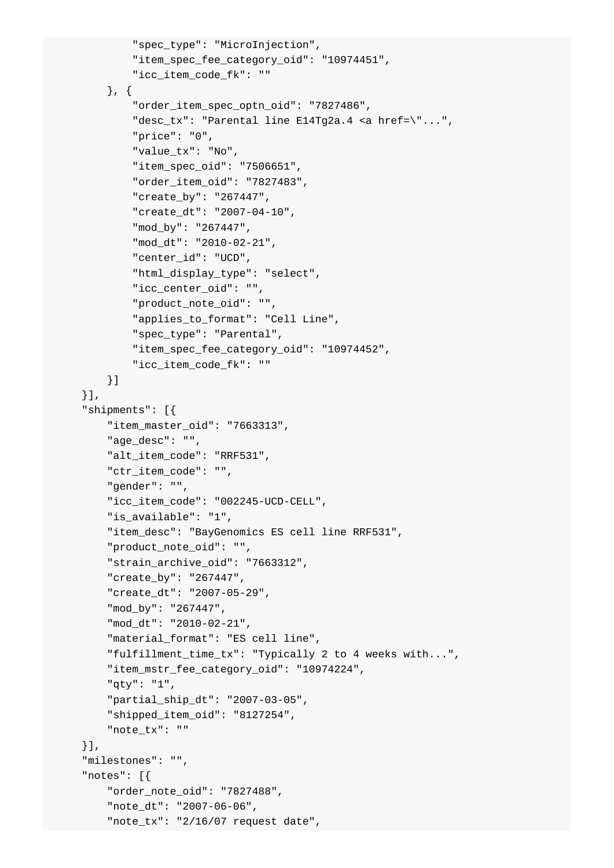```
 "spec_type": "MicroInjection",
         "item_spec_fee_category_oid": "10974451",
         "icc_item_code_fk": ""
     }, {
         "order_item_spec_optn_oid": "7827486",
        "desc tx": "Parental line E14Tg2a.4 <a href=\"...",
         "price": "0",
         "value_tx": "No",
         "item_spec_oid": "7506651",
         "order_item_oid": "7827483",
         "create_by": "267447",
         "create_dt": "2007-04-10",
         "mod_by": "267447",
         "mod_dt": "2010-02-21",
         "center_id": "UCD",
         "html_display_type": "select",
        "icc_center_oid": "",
         "product_note_oid": "",
         "applies_to_format": "Cell Line",
         "spec_type": "Parental",
         "item_spec_fee_category_oid": "10974452",
         "icc_item_code_fk": ""
     }]
 }],
 "shipments": [{
     "item_master_oid": "7663313",
     "age_desc": "",
     "alt_item_code": "RRF531",
     "ctr_item_code": "",
     "gender": "",
     "icc_item_code": "002245-UCD-CELL",
     "is_available": "1",
     "item_desc": "BayGenomics ES cell line RRF531",
     "product_note_oid": "",
     "strain_archive_oid": "7663312",
     "create_by": "267447",
     "create_dt": "2007-05-29",
     "mod_by": "267447",
     "mod_dt": "2010-02-21",
    "material format": "ES cell line",
     "fulfillment_time_tx": "Typically 2 to 4 weeks with...",
     "item_mstr_fee_category_oid": "10974224",
     "qty": "1",
     "partial_ship_dt": "2007-03-05",
     "shipped_item_oid": "8127254",
     "note_tx": ""
 }],
 "milestones": "",
 "notes": [{
     "order_note_oid": "7827488",
     "note_dt": "2007-06-06",
     "note_tx": "2/16/07 request date",
```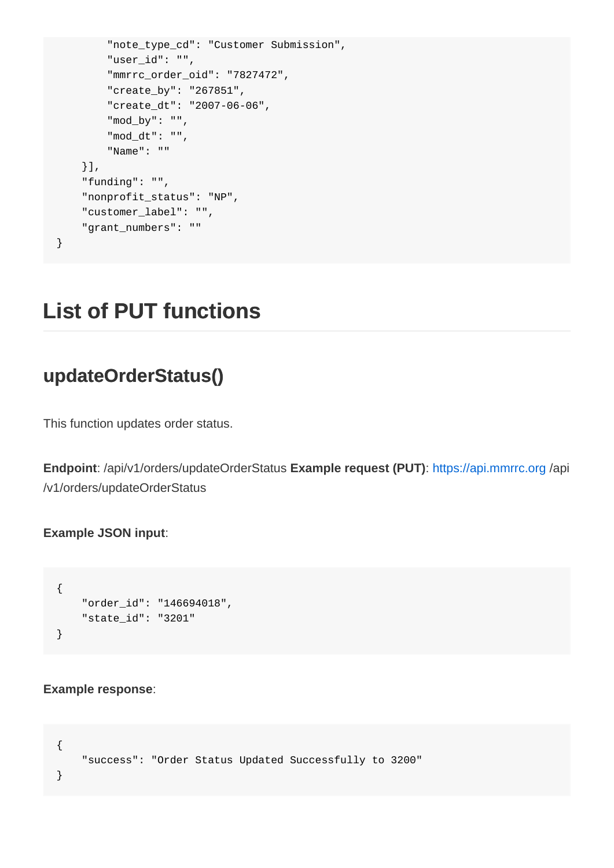```
 "note_type_cd": "Customer Submission",
         "user_id": "",
         "mmrrc_order_oid": "7827472",
         "create_by": "267851",
         "create_dt": "2007-06-06",
         "mod_by": "",
         "mod_dt": "",
         "Name": ""
     }],
     "funding": "",
     "nonprofit_status": "NP",
     "customer_label": "",
     "grant_numbers": ""
}
```
## **List of PUT functions**

#### **updateOrderStatus()**

This function updates order status.

**Endpoint**: /api/v1/orders/updateOrderStatus **Example request (PUT)**: <https://api.mmrrc.org>/api /v1/orders/updateOrderStatus

#### **Example JSON input**:

```
{
     "order_id": "146694018",
     "state_id": "3201"
}
```
#### **Example response**:

```
{
     "success": "Order Status Updated Successfully to 3200"
}
```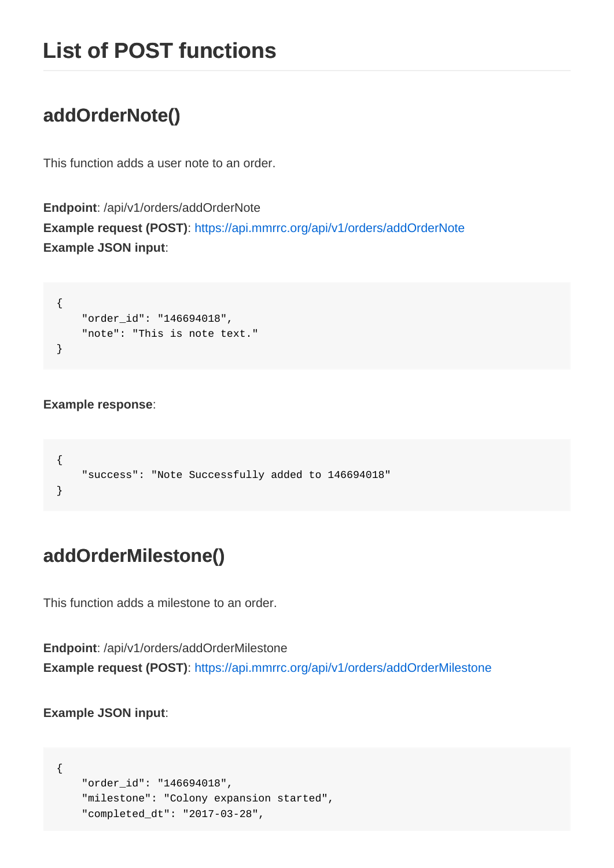### <span id="page-21-0"></span>**addOrderNote()**

This function adds a user note to an order.

**Endpoint**: /api/v1/orders/addOrderNote **Example request (POST)**: <https://api.mmrrc.org/api/v1/orders/addOrderNote> **Example JSON input**:

```
{
     "order_id": "146694018",
     "note": "This is note text."
}
```
#### **Example response**:

```
{
     "success": "Note Successfully added to 146694018"
}
```
#### **addOrderMilestone()**

This function adds a milestone to an order.

**Endpoint**: /api/v1/orders/addOrderMilestone **Example request (POST)**: <https://api.mmrrc.org/api/v1/orders/addOrderMilestone>

**Example JSON input**:

```
{
     "order_id": "146694018",
     "milestone": "Colony expansion started",
     "completed_dt": "2017-03-28",
```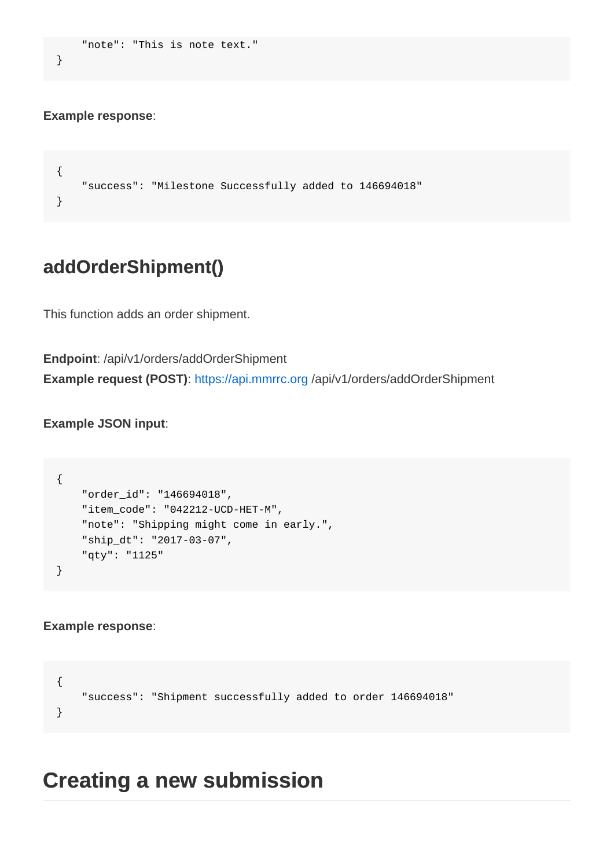```
 "note": "This is note text."
}
```
#### **Example response**:

```
{
     "success": "Milestone Successfully added to 146694018"
}
```
#### **addOrderShipment()**

This function adds an order shipment.

**Endpoint**: /api/v1/orders/addOrderShipment **Example request (POST)**: <https://api.mmrrc.org>/api/v1/orders/addOrderShipment

**Example JSON input**:

```
{
     "order_id": "146694018",
     "item_code": "042212-UCD-HET-M",
     "note": "Shipping might come in early.",
     "ship_dt": "2017-03-07",
     "qty": "1125"
}
```
#### **Example response**:

```
{
     "success": "Shipment successfully added to order 146694018"
}
```
### **Creating a new submission**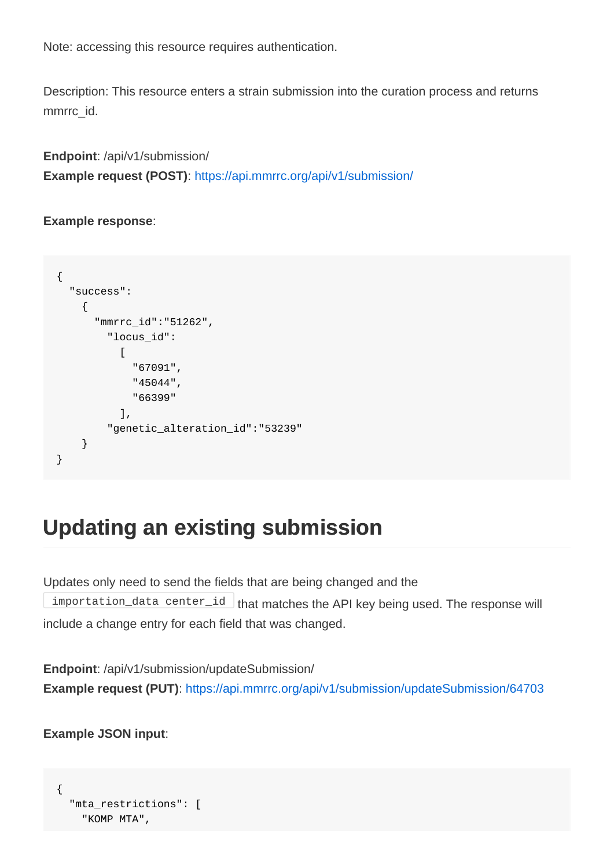<span id="page-23-0"></span>Note: accessing this resource requires authentication.

Description: This resource enters a strain submission into the curation process and returns mmrrc\_id.

**Endpoint**: /api/v1/submission/ **Example request (POST)**: <https://api.mmrrc.org/api/v1/submission/>

**Example response**:

```
{
   "success":
    {
       "mmrrc_id":"51262",
         "locus_id":
 [
              "67091",
             "45044",
             "66399"
           ],
         "genetic_alteration_id":"53239"
     }
}
```
## **Updating an existing submission**

Updates only need to send the fields that are being changed and the importation\_data center\_id that matches the API key being used. The response will include a change entry for each field that was changed.

**Endpoint**: /api/v1/submission/updateSubmission/ **Example request (PUT):**<https://api.mmrrc.org/api/v1/submission/updateSubmission/64703>

**Example JSON input**:

```
{
   "mta_restrictions": [
     "KOMP MTA",
```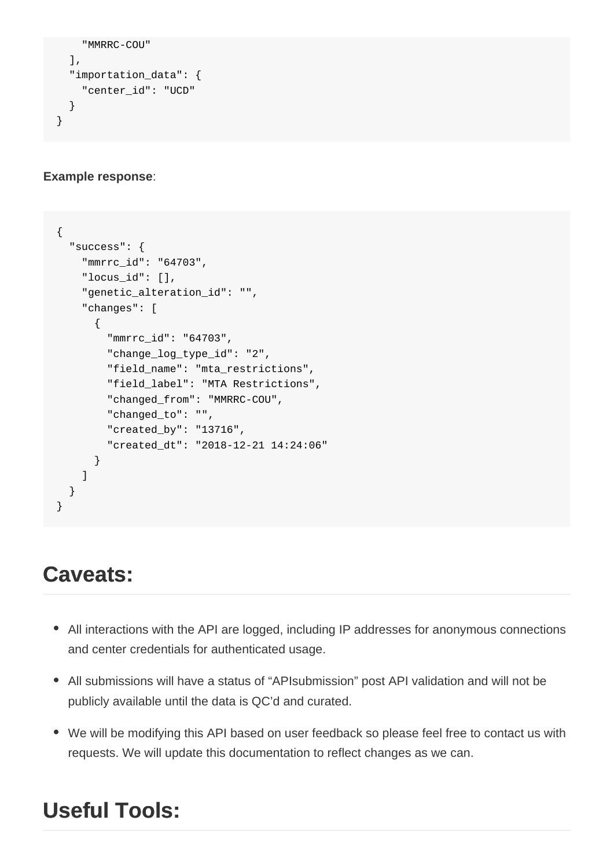```
"MMRRC-COU"
   ],
   "importation_data": {
     "center_id": "UCD"
   }
}
```
#### **Example response**:

```
{
   "success": {
     "mmrrc_id": "64703",
     "locus_id": [],
     "genetic_alteration_id": "",
     "changes": [
       {
         "mmrrc_id": "64703",
         "change_log_type_id": "2",
         "field_name": "mta_restrictions",
         "field_label": "MTA Restrictions",
         "changed_from": "MMRRC-COU",
         "changed_to": "",
         "created_by": "13716",
         "created_dt": "2018-12-21 14:24:06"
       }
    ]
   }
}
```
### **Caveats:**

- All interactions with the API are logged, including IP addresses for anonymous connections and center credentials for authenticated usage.
- All submissions will have a status of "APIsubmission" post API validation and will not be publicly available until the data is QC'd and curated.
- We will be modifying this API based on user feedback so please feel free to contact us with requests. We will update this documentation to reflect changes as we can.

### **Useful Tools:**